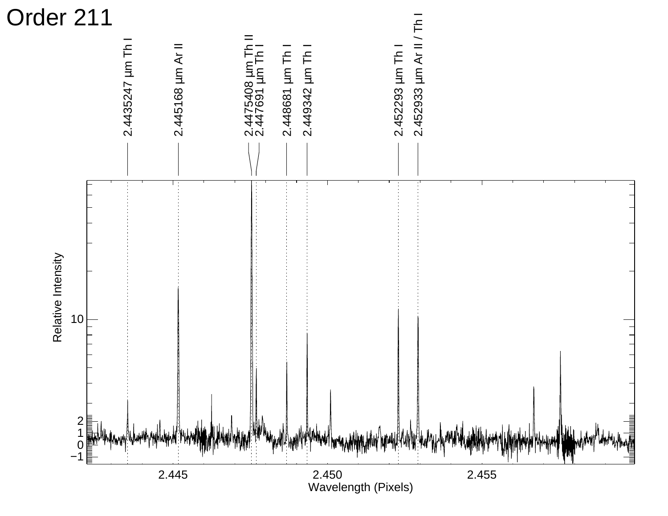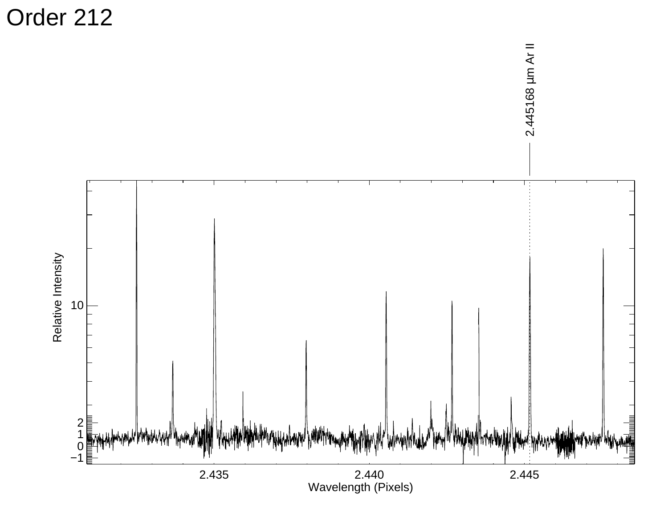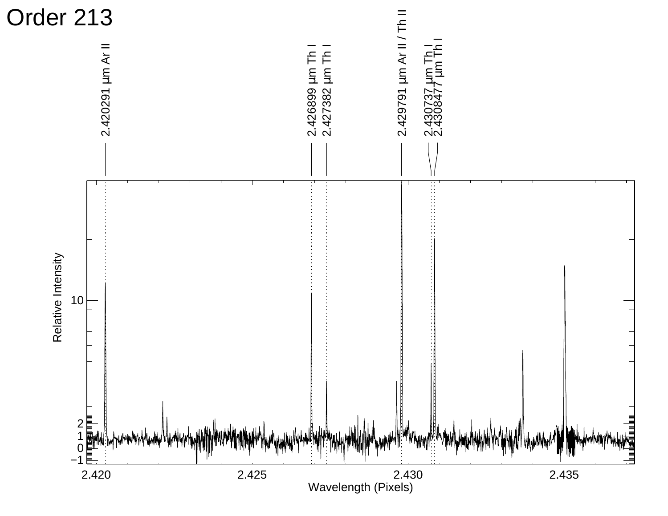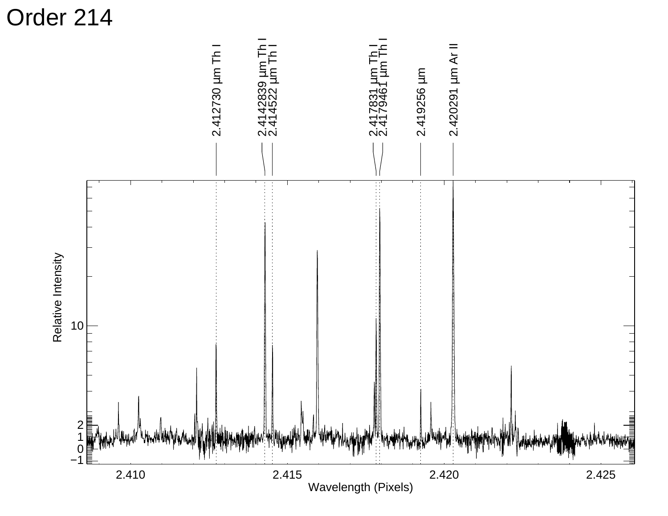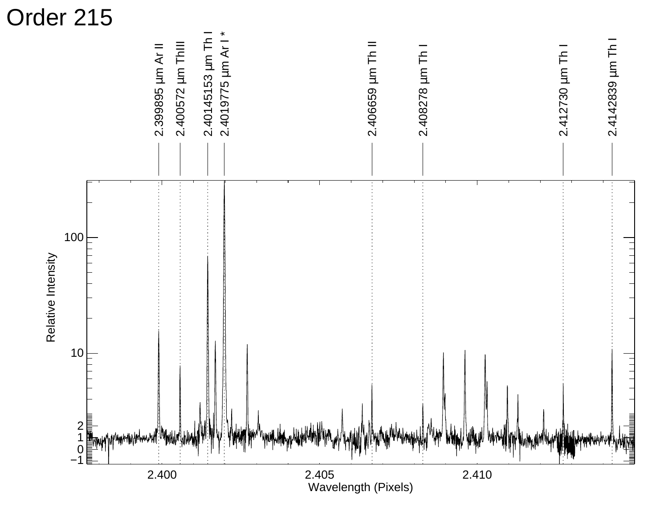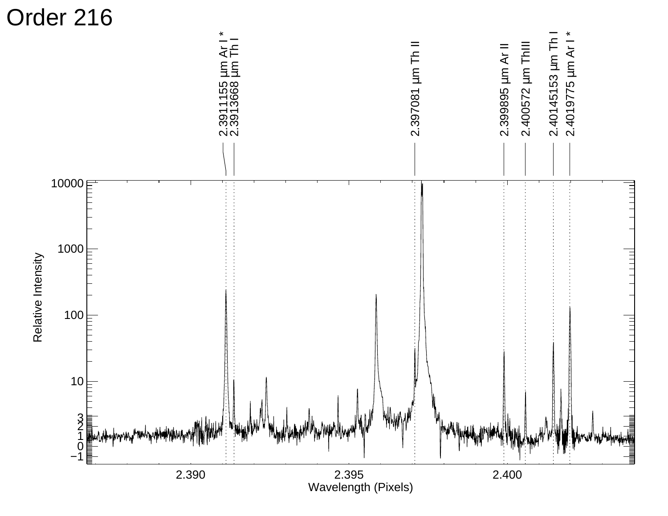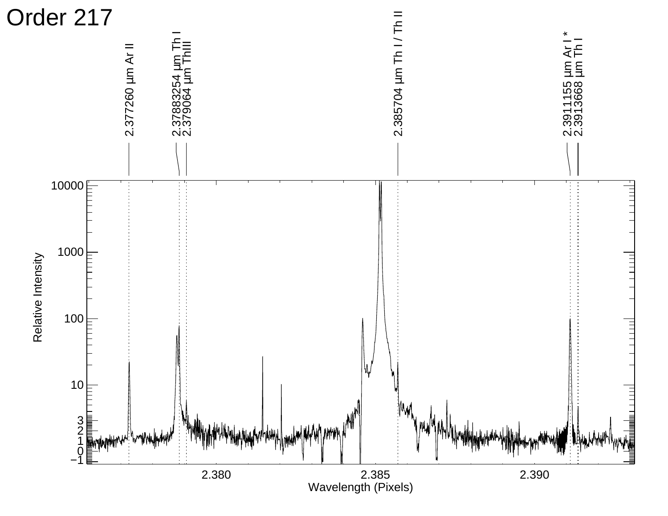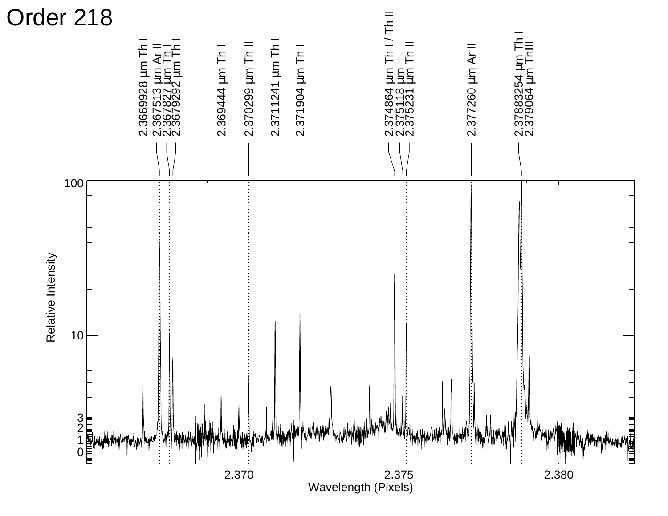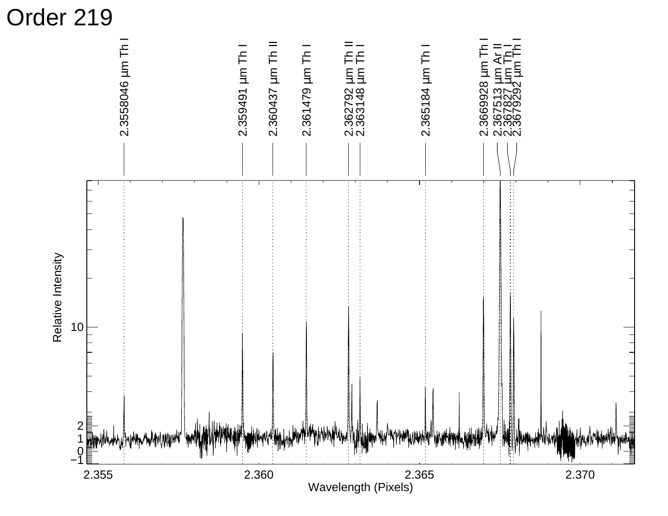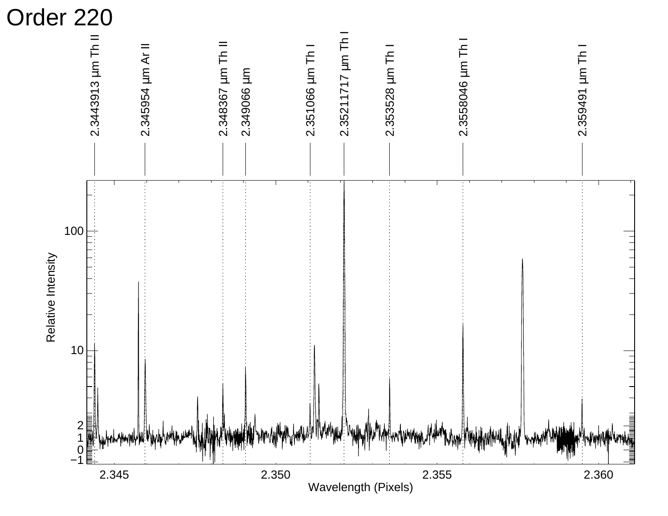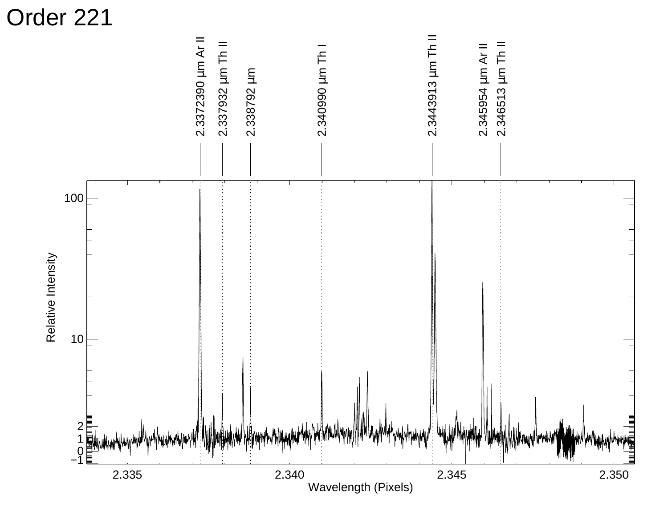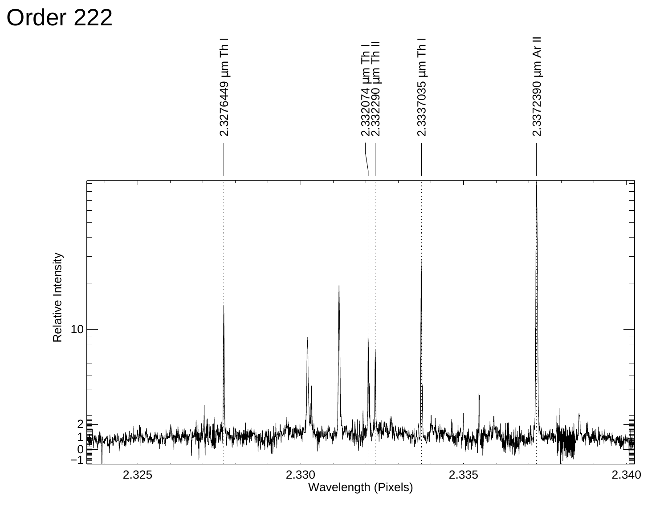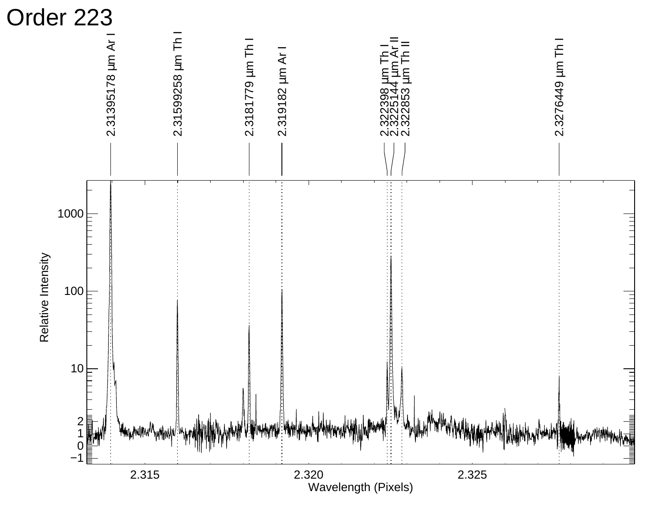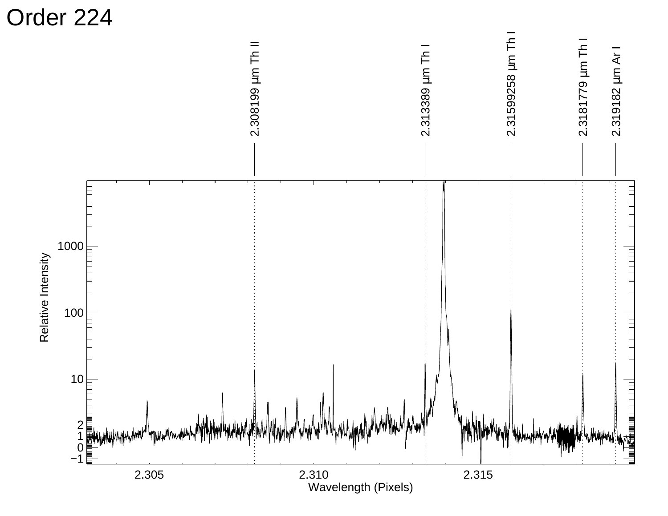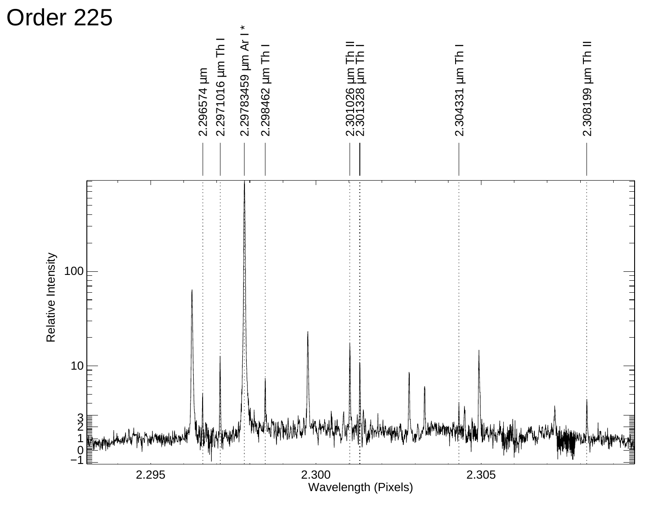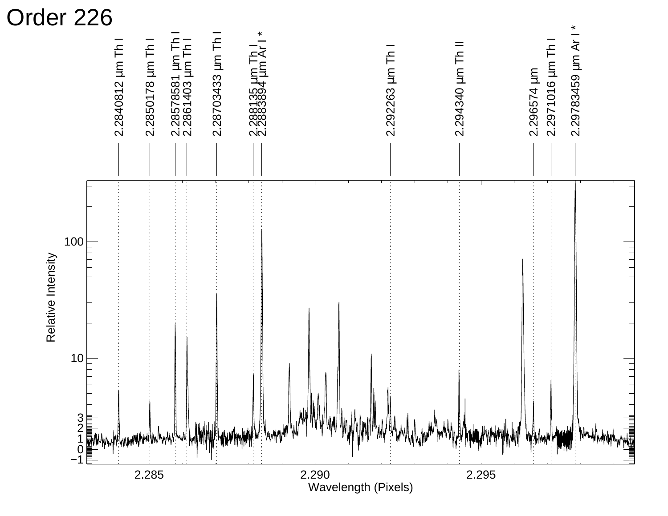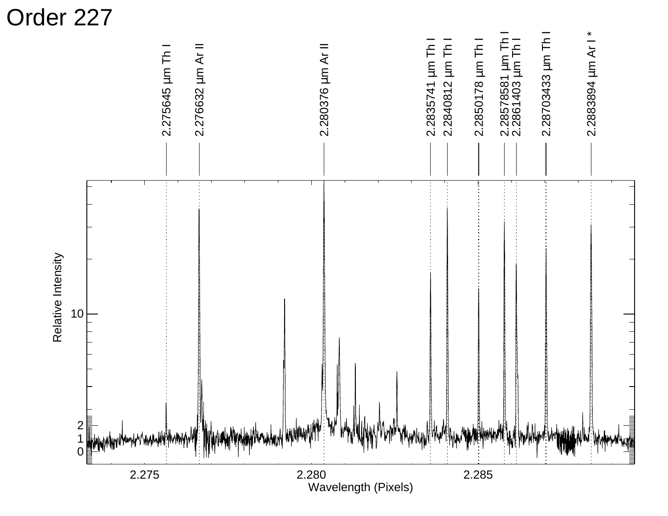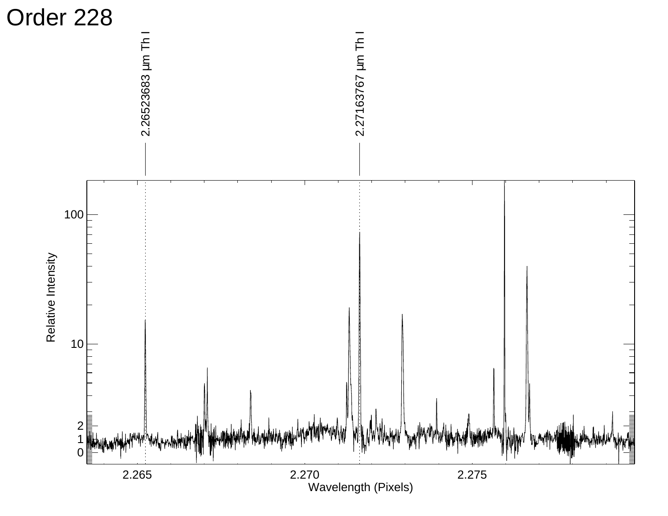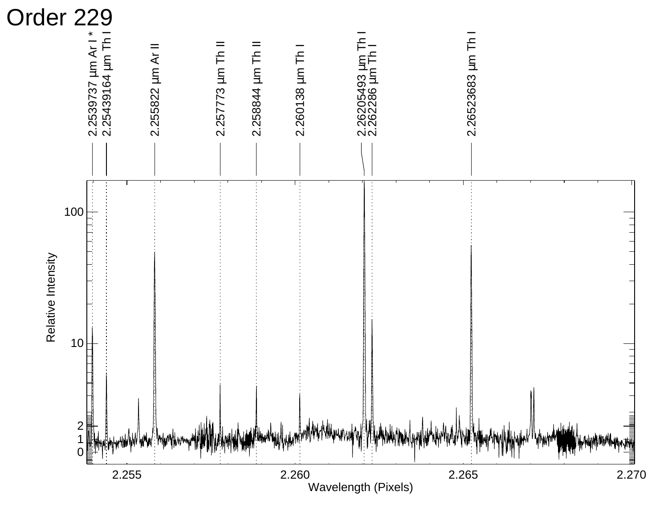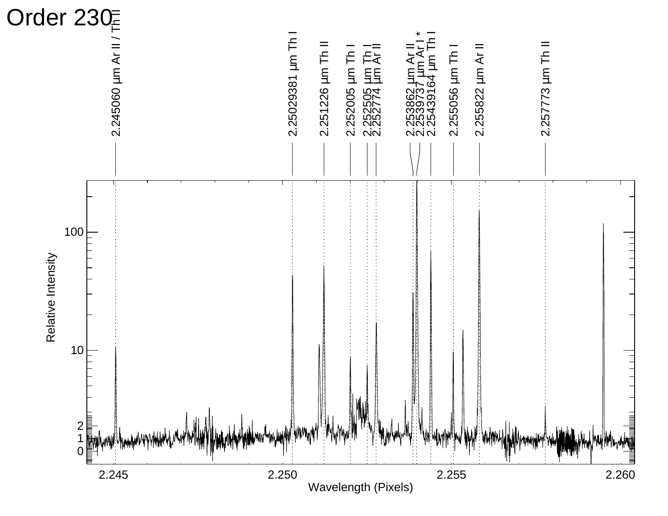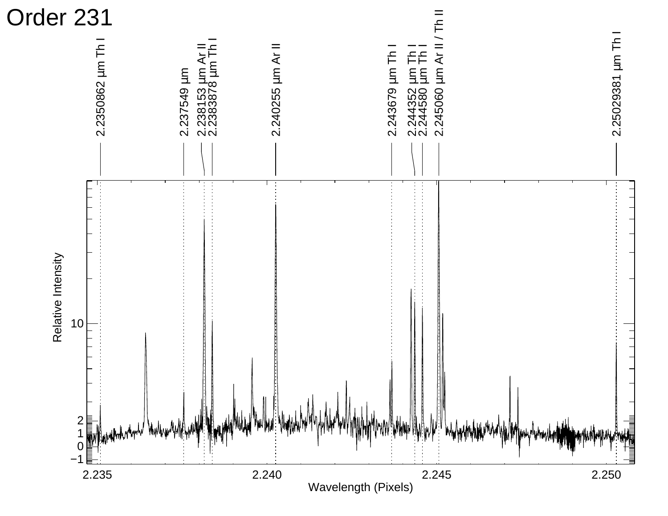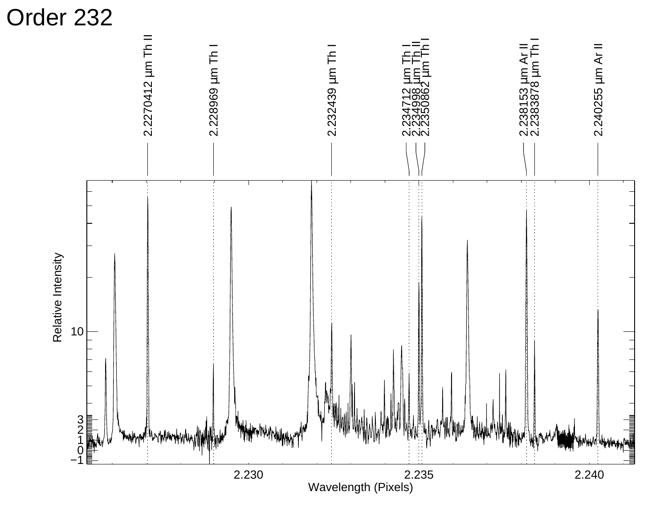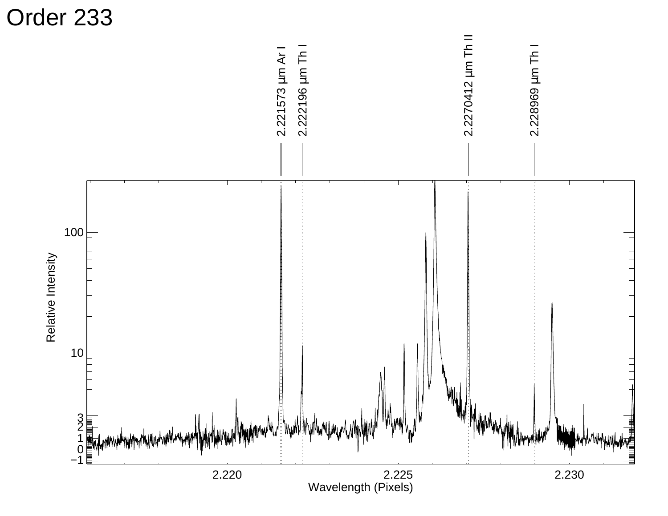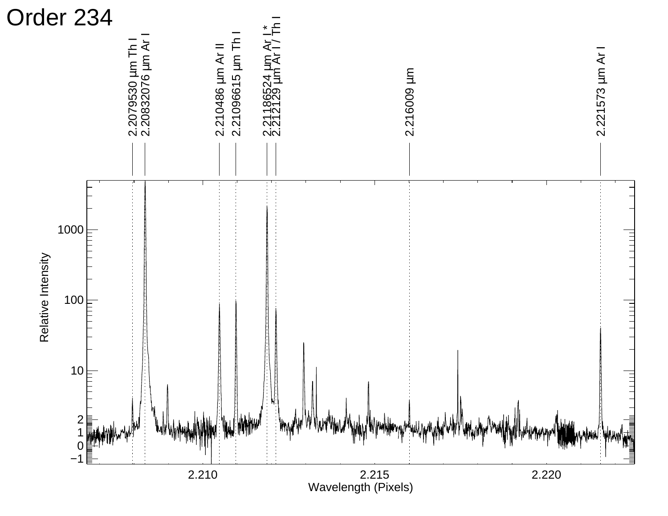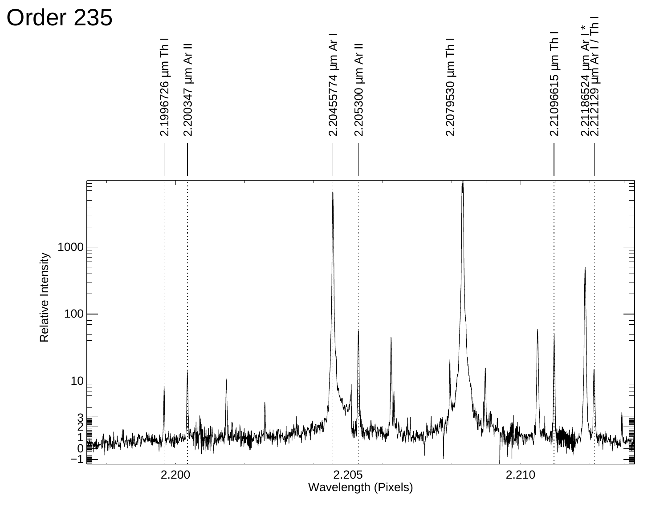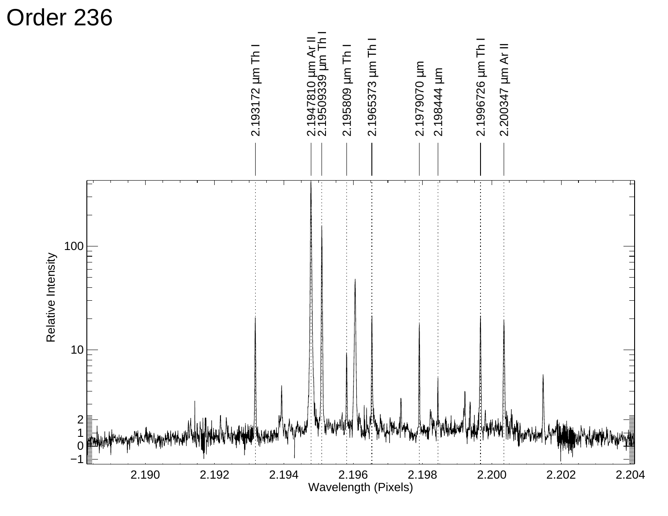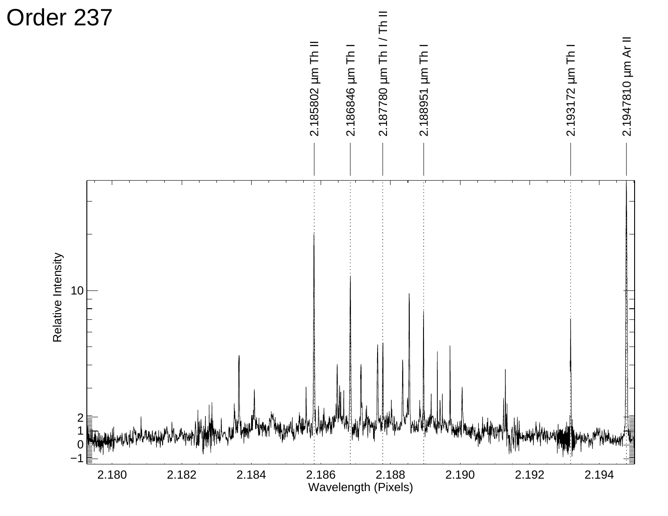